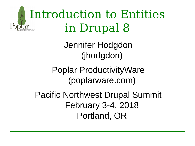

Jennifer Hodgdon (jhodgdon)

Poplar ProductivityWare (poplarware.com)

Pacific Northwest Drupal Summit February 3-4, 2018 Portland, OR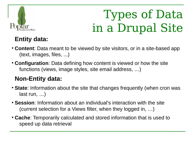

# Types of Data in a Drupal Site

#### **Entity data:**

- **Content**: Data meant to be viewed by site visitors, or in a site-based app (text, images, files, ...)
- **Configuration**: Data defining how content is viewed or how the site functions (views, image styles, site email address, …)

#### **Non-Entity data:**

- **State**: Information about the site that changes frequently (when cron was last run, …)
- **Session**: Information about an individual's interaction with the site (current selection for a Views filter, when they logged in, …)
- **Cache**: Temporarily calculated and stored information that is used to speed up data retrieval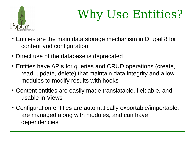

# Why Use Entities?

- Entities are the main data storage mechanism in Drupal 8 for content and configuration
- Direct use of the database is deprecated
- Entities have APIs for queries and CRUD operations (create, read, update, delete) that maintain data integrity and allow modules to modify results with hooks
- Content entities are easily made translatable, fieldable, and usable in Views
- Configuration entities are automatically exportable/importable, are managed along with modules, and can have dependencies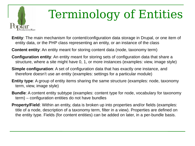

# Terminology of Entities

**Entity**: The main mechanism for content/configuration data storage in Drupal, or one item of entity data, or the PHP class representing an entity, or an instance of the class

**Content entity**: An entity meant for storing content data (node, taxonomy term)

- **Configuration entity**: An entity meant for storing sets of configuration data that share a structure, where a site might have 0, 1, or more instances (examples: view, image style)
- **Simple configuration**: A set of configuration data that has exactly one instance, and therefore doesn't use an entity (examples: settings for a particular module)
- **Entity type**: A group of entity items sharing the same structure (examples: node, taxonomy term, view, image style)
- **Bundle**: A content entity subtype (examples: content type for node, vocabulary for taxonomy term) – configuration entities do not have bundles
- **Property/Field**: Within an entity, data is broken up into properties and/or fields (examples: title of a node, description of a taxonomy term, filter in a view). Properties are defined on the entity type. Fields (for content entities) can be added on later, in a per-bundle basis.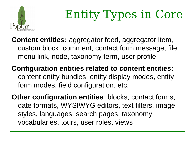

# Entity Types in Core

- **Content entities:** aggregator feed, aggregator item, custom block, comment, contact form message, file, menu link, node, taxonomy term, user profile
- **Configuration entities related to content entities:** content entity bundles, entity display modes, entity form modes, field configuration, etc.

**Other configuration entities**: blocks, contact forms, date formats, WYSIWYG editors, text filters, image styles, languages, search pages, taxonomy vocabularies, tours, user roles, views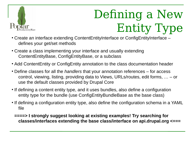

# Defining a New Entity Type

- Create an interface extending ContentEntityInterface or ConfigEntityInterface defines your get/set methods
- Create a class implementing your interface and usually extending ContentEntityBase, ConfigEntityBase, or a subclass
- Add ContentEntity or ConfigEntity annotation to the class documentation header
- Define classes for all the *handlers* that your annotation references for access control, viewing, listing, providing data to Views, URLs/routes, edit forms, … – or use the default classes provided by Drupal Core
- If defining a content entity type, and it uses bundles, also define a configuration entity type for the bundle (use ConfigEntityBundleBase as the base class)
- If defining a configuration entity type, also define the configuration schema in a YAML file
	- **====> I strongly suggest looking at existing examples! Try searching for classes/interfaces extending the base class/interface on api.drupal.org <===**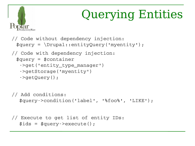

```
$ids = $query - \geq \\zeta();
```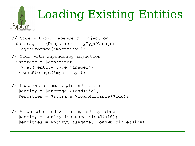# Loading Existing Entities

```
// Code without dependency injection:
 $storage = \Drupal::entityTypeManager() >getStorage('myentity');
// Code with dependency injection:
 $storage = $container
  ->get('entity type manager')
   >getStorage('myentity');
```

```
// Load one or multiple entities:
  $entity = $storage->load($id);
  $entities = $storage->loadMultile ($ids);
```

```
// Alternate method, using entity class:
   $entity = EntityClassName::load($id);
   $entities = EntityClassName::loadMultiple($ids);
```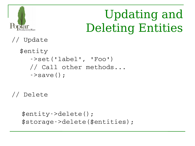

# Updating and Deleting Entities

// Update

 \$entity >set('label', 'Foo') // Call other methods...  $\cdot$ >save();

// Delete

```
$entity>delete();
 $storage>delete($entities);
```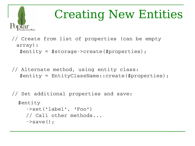

# Creating New Entities

// Create from list of properties (can be empty array):  $$$ entity =  $$$ storage->create( $$$ properties);

// Alternate method, using entity class: \$entity = EntityClassName::create(\$properties);

// Set additional properties and save: \$entity >set('label', 'Foo') // Call other methods...  $\rightarrow$ save $()$ ;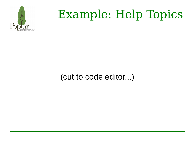

# Example: Help Topics

#### (cut to code editor...)